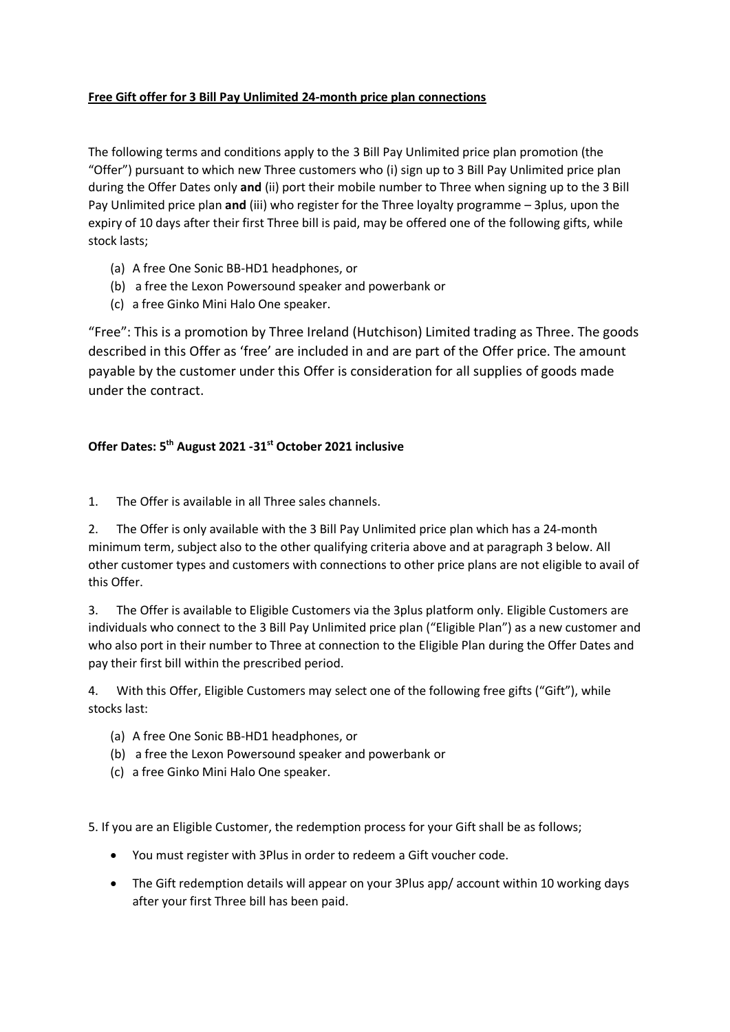## **Free Gift offer for 3 Bill Pay Unlimited 24-month price plan connections**

The following terms and conditions apply to the 3 Bill Pay Unlimited price plan promotion (the "Offer") pursuant to which new Three customers who (i) sign up to 3 Bill Pay Unlimited price plan during the Offer Dates only **and** (ii) port their mobile number to Three when signing up to the 3 Bill Pay Unlimited price plan **and** (iii) who register for the Three loyalty programme – 3plus, upon the expiry of 10 days after their first Three bill is paid, may be offered one of the following gifts, while stock lasts;

- (a) A free One Sonic BB-HD1 headphones, or
- (b) a free the Lexon Powersound speaker and powerbank or
- (c) a free Ginko Mini Halo One speaker.

"Free": This is a promotion by Three Ireland (Hutchison) Limited trading as Three. The goods described in this Offer as 'free' are included in and are part of the Offer price. The amount payable by the customer under this Offer is consideration for all supplies of goods made under the contract.

## **Offer Dates: 5 th August 2021 -31st October 2021 inclusive**

1. The Offer is available in all Three sales channels.

2. The Offer is only available with the 3 Bill Pay Unlimited price plan which has a 24-month minimum term, subject also to the other qualifying criteria above and at paragraph 3 below. All other customer types and customers with connections to other price plans are not eligible to avail of this Offer.

3. The Offer is available to Eligible Customers via the 3plus platform only. Eligible Customers are individuals who connect to the 3 Bill Pay Unlimited price plan ("Eligible Plan") as a new customer and who also port in their number to Three at connection to the Eligible Plan during the Offer Dates and pay their first bill within the prescribed period.

4. With this Offer, Eligible Customers may select one of the following free gifts ("Gift"), while stocks last:

- (a) A free One Sonic BB-HD1 headphones, or
- (b) a free the Lexon Powersound speaker and powerbank or
- (c) a free Ginko Mini Halo One speaker.

5. If you are an Eligible Customer, the redemption process for your Gift shall be as follows;

- You must register with 3Plus in order to redeem a Gift voucher code.
- The Gift redemption details will appear on your 3Plus app/ account within 10 working days after your first Three bill has been paid.